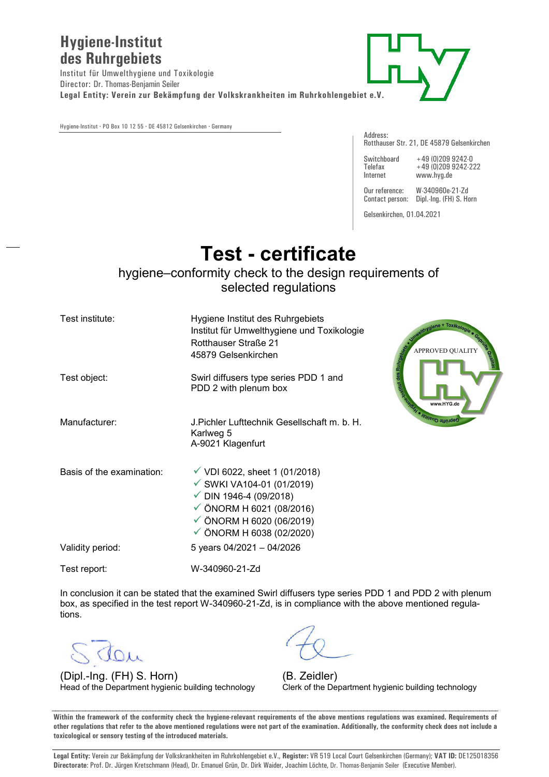## **Hygiene-Institut des Ruhrgebiets**

Institut für Umwelthygiene und Toxikologie Director: Dr. Thomas-Benjamin Seiler **Legal Entity: Verein zur Bekämpfung der Volkskrankheiten im Ruhrkohlengebiet e.V.** 

Hygiene-Institut **·** PO Box 10 12 55 **·** DE 45812 Gelsenkirchen **·** Germany

Address: Rotthauser Str. 21, DE 45879 Gelsenkirchen

Switchboard +49 (0)209 9242-0 Telefax +49 (0)209 9242-222 Internet www.hyg.de

Our reference: W-340960e-21-Zd Contact person: Dipl.-Ing. (FH) S. Horn

Gelsenkirchen, 01.04.2021

## **Test - certificate**

## hygiene–conformity check to the design requirements of selected regulations

| Test institute:           | Hygiene Institut des Ruhrgebiets<br>Institut für Umwelthygiene und Toxikologie<br>Rotthauser Straße 21<br>45879 Gelsenkirchen                                                                                                   | strygiene + Toxikologie · Contra<br>AN INTERNATIONAL SERVICE PROPERTY AND RESIDENCE OF THE RESIDENCE OF THE RESIDENCE OF THE RESIDENCE OF THE RESIDENCE OF THE RESIDENCE OF THE RESIDENCE OF THE RESIDENCE OF THE RESIDENCE OF THE RESIDENCE OF THE RESIDENCE OF T<br><b>APPROVED QUALITY</b> |
|---------------------------|---------------------------------------------------------------------------------------------------------------------------------------------------------------------------------------------------------------------------------|-----------------------------------------------------------------------------------------------------------------------------------------------------------------------------------------------------------------------------------------------------------------------------------------------|
| Test object:              | Swirl diffusers type series PDD 1 and<br>PDD 2 with plenum box                                                                                                                                                                  |                                                                                                                                                                                                                                                                                               |
| Manufacturer:             | J.Pichler Lufttechnik Gesellschaft m. b. H.<br>Karlweg 5<br>A-9021 Klagenfurt                                                                                                                                                   |                                                                                                                                                                                                                                                                                               |
| Basis of the examination: | $\checkmark$ VDI 6022, sheet 1 (01/2018)<br>√ SWKI VA104-01 (01/2019)<br>$\checkmark$ DIN 1946-4 (09/2018)<br>$\checkmark$ ÖNORM H 6021 (08/2016)<br>$\checkmark$ ÖNORM H 6020 (06/2019)<br>$\checkmark$ ÖNORM H 6038 (02/2020) |                                                                                                                                                                                                                                                                                               |
| Validity period:          | 5 years 04/2021 - 04/2026                                                                                                                                                                                                       |                                                                                                                                                                                                                                                                                               |
| Test report:              | W-340960-21-Zd                                                                                                                                                                                                                  |                                                                                                                                                                                                                                                                                               |

In conclusion it can be stated that the examined Swirl diffusers type series PDD 1 and PDD 2 with plenum box, as specified in the test report W-340960-21-Zd, is in compliance with the above mentioned regulations.

(Dipl.-Ing. (FH) S. Horn) (B. Zeidler)<br>
Head of the Department hygienic building technology Clerk of the De

Clerk of the Department hygienic building technology

**Within the framework of the conformity check the hygiene-relevant requirements of the above mentions regulations was examined. Requirements of other regulations that refer to the above mentioned regulations were not part of the examination. Additionally, the conformity check does not include a toxicological or sensory testing of the introduced materials.** 

**Legal Entity:** Verein zur Bekämpfung der Volkskrankheiten im Ruhrkohlengebiet e.V., **Register:** VR 519 Local Court Gelsenkirchen (Germany); **VAT ID:** DE125018356 **Directorate**: Prof. Dr. Jürgen Kretschmann (Head), Dr. Emanuel Grün, Dr. Dirk Waider, Joachim Löchte, Dr. Thomas-Benjamin Seiler (Executive Member).